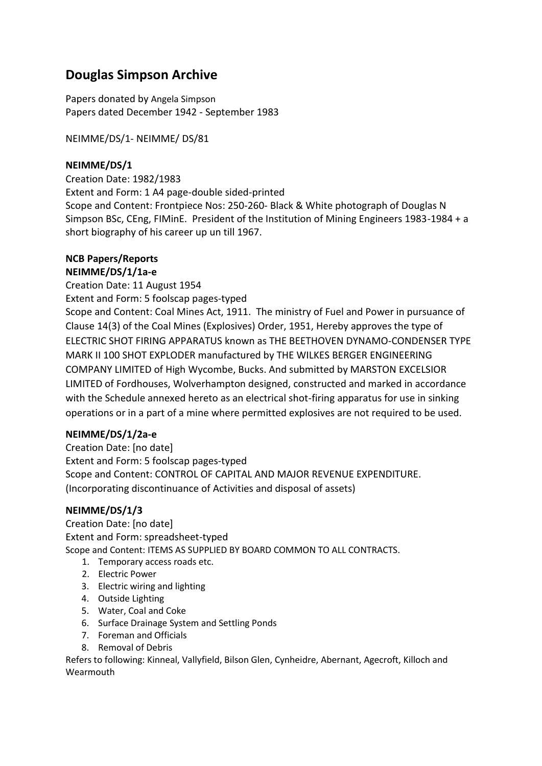# **Douglas Simpson Archive**

Papers donated by Angela Simpson Papers dated December 1942 - September 1983

NEIMME/DS/1- NEIMME/ DS/81

### **NEIMME/DS/1**

Creation Date: 1982/1983 Extent and Form: 1 A4 page-double sided-printed Scope and Content: Frontpiece Nos: 250-260- Black & White photograph of Douglas N Simpson BSc, CEng, FIMinE. President of the Institution of Mining Engineers 1983-1984 + a short biography of his career up un till 1967.

#### **NCB Papers/Reports NEIMME/DS/1/1a-e**

Creation Date: 11 August 1954 Extent and Form: 5 foolscap pages-typed

Scope and Content: Coal Mines Act, 1911. The ministry of Fuel and Power in pursuance of Clause 14(3) of the Coal Mines (Explosives) Order, 1951, Hereby approves the type of ELECTRIC SHOT FIRING APPARATUS known as THE BEETHOVEN DYNAMO-CONDENSER TYPE MARK II 100 SHOT EXPLODER manufactured by THE WILKES BERGER ENGINEERING COMPANY LIMITED of High Wycombe, Bucks. And submitted by MARSTON EXCELSIOR LIMITED of Fordhouses, Wolverhampton designed, constructed and marked in accordance with the Schedule annexed hereto as an electrical shot-firing apparatus for use in sinking operations or in a part of a mine where permitted explosives are not required to be used.

# **NEIMME/DS/1/2a-e**

Creation Date: [no date] Extent and Form: 5 foolscap pages-typed Scope and Content: CONTROL OF CAPITAL AND MAJOR REVENUE EXPENDITURE. (Incorporating discontinuance of Activities and disposal of assets)

### **NEIMME/DS/1/3**

Creation Date: [no date] Extent and Form: spreadsheet-typed Scope and Content: ITEMS AS SUPPLIED BY BOARD COMMON TO ALL CONTRACTS.

- 1. Temporary access roads etc.
- 2. Electric Power
- 3. Electric wiring and lighting
- 4. Outside Lighting
- 5. Water, Coal and Coke
- 6. Surface Drainage System and Settling Ponds
- 7. Foreman and Officials
- 8. Removal of Debris

Refers to following: Kinneal, Vallyfield, Bilson Glen, Cynheidre, Abernant, Agecroft, Killoch and Wearmouth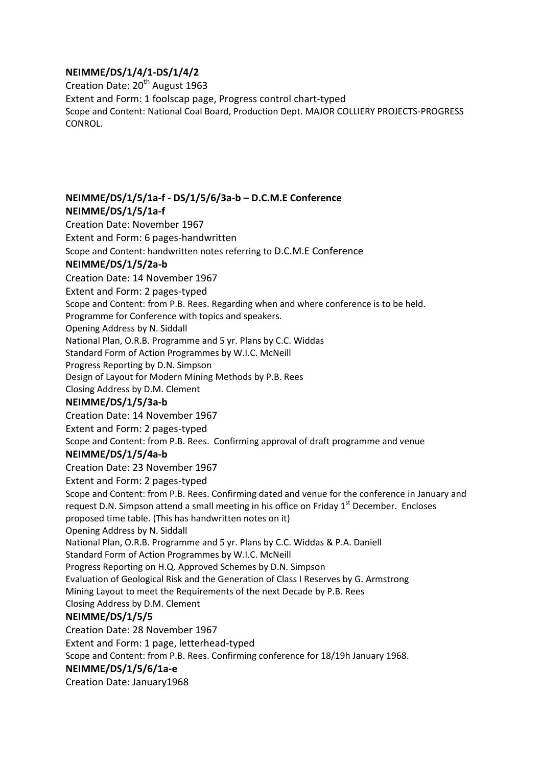# **NEIMME/DS/1/4/1-DS/1/4/2**

Creation Date: 20<sup>th</sup> August 1963 Extent and Form: 1 foolscap page, Progress control chart-typed Scope and Content: National Coal Board, Production Dept. MAJOR COLLIERY PROJECTS-PROGRESS CONROL.

# **NEIMME/DS/1/5/1a-f - DS/1/5/6/3a-b – D.C.M.E Conference NEIMME/DS/1/5/1a-f**

Creation Date: November 1967 Extent and Form: 6 pages-handwritten Scope and Content: handwritten notes referring to D.C.M.E Conference **NEIMME/DS/1/5/2a-b** Creation Date: 14 November 1967 Extent and Form: 2 pages-typed Scope and Content: from P.B. Rees. Regarding when and where conference is to be held. Programme for Conference with topics and speakers. Opening Address by N. Siddall National Plan, O.R.B. Programme and 5 yr. Plans by C.C. Widdas Standard Form of Action Programmes by W.I.C. McNeill Progress Reporting by D.N. Simpson Design of Layout for Modern Mining Methods by P.B. Rees Closing Address by D.M. Clement **NEIMME/DS/1/5/3a-b** Creation Date: 14 November 1967 Extent and Form: 2 pages-typed Scope and Content: from P.B. Rees. Confirming approval of draft programme and venue **NEIMME/DS/1/5/4a-b** Creation Date: 23 November 1967 Extent and Form: 2 pages-typed Scope and Content: from P.B. Rees. Confirming dated and venue for the conference in January and request D.N. Simpson attend a small meeting in his office on Friday 1<sup>st</sup> December. Encloses proposed time table. (This has handwritten notes on it) Opening Address by N. Siddall National Plan, O.R.B. Programme and 5 yr. Plans by C.C. Widdas & P.A. Daniell Standard Form of Action Programmes by W.I.C. McNeill Progress Reporting on H.Q. Approved Schemes by D.N. Simpson Evaluation of Geological Risk and the Generation of Class I Reserves by G. Armstrong Mining Layout to meet the Requirements of the next Decade by P.B. Rees Closing Address by D.M. Clement **NEIMME/DS/1/5/5** Creation Date: 28 November 1967 Extent and Form: 1 page, letterhead-typed Scope and Content: from P.B. Rees. Confirming conference for 18/19h January 1968.

### **NEIMME/DS/1/5/6/1a-e**

Creation Date: January1968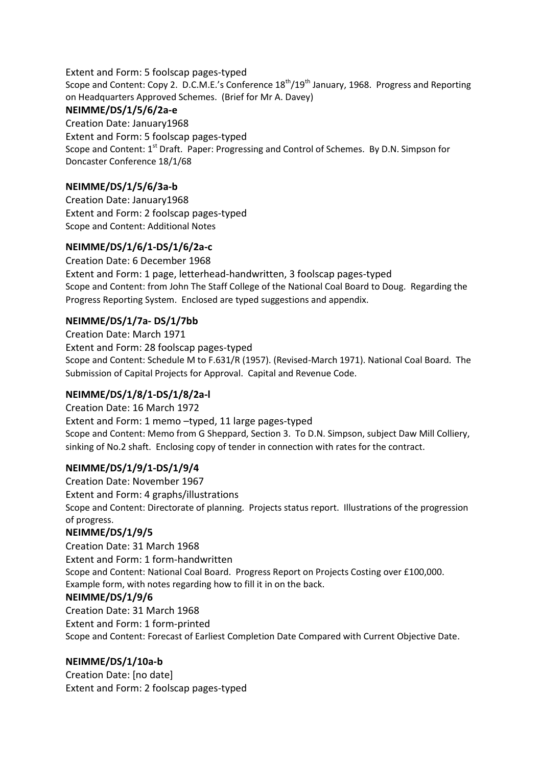Extent and Form: 5 foolscap pages-typed Scope and Content: Copy 2. D.C.M.E.'s Conference 18<sup>th</sup>/19<sup>th</sup> January, 1968. Progress and Reporting on Headquarters Approved Schemes. (Brief for Mr A. Davey)

# **NEIMME/DS/1/5/6/2a-e**

Creation Date: January1968 Extent and Form: 5 foolscap pages-typed Scope and Content: 1<sup>st</sup> Draft. Paper: Progressing and Control of Schemes. By D.N. Simpson for Doncaster Conference 18/1/68

# **NEIMME/DS/1/5/6/3a-b**

Creation Date: January1968 Extent and Form: 2 foolscap pages-typed Scope and Content: Additional Notes

# **NEIMME/DS/1/6/1-DS/1/6/2a-c**

Creation Date: 6 December 1968 Extent and Form: 1 page, letterhead-handwritten, 3 foolscap pages-typed Scope and Content: from John The Staff College of the National Coal Board to Doug. Regarding the Progress Reporting System. Enclosed are typed suggestions and appendix.

# **NEIMME/DS/1/7a- DS/1/7bb**

Creation Date: March 1971 Extent and Form: 28 foolscap pages-typed Scope and Content: Schedule M to F.631/R (1957). (Revised-March 1971). National Coal Board. The Submission of Capital Projects for Approval. Capital and Revenue Code.

# **NEIMME/DS/1/8/1-DS/1/8/2a-l**

Creation Date: 16 March 1972 Extent and Form: 1 memo –typed, 11 large pages-typed Scope and Content: Memo from G Sheppard, Section 3. To D.N. Simpson, subject Daw Mill Colliery, sinking of No.2 shaft. Enclosing copy of tender in connection with rates for the contract.

### **NEIMME/DS/1/9/1-DS/1/9/4**

Creation Date: November 1967 Extent and Form: 4 graphs/illustrations Scope and Content: Directorate of planning. Projects status report. Illustrations of the progression of progress.

### **NEIMME/DS/1/9/5**

Creation Date: 31 March 1968 Extent and Form: 1 form-handwritten Scope and Content: National Coal Board. Progress Report on Projects Costing over £100,000. Example form, with notes regarding how to fill it in on the back.

### **NEIMME/DS/1/9/6**

Creation Date: 31 March 1968 Extent and Form: 1 form-printed Scope and Content: Forecast of Earliest Completion Date Compared with Current Objective Date.

# **NEIMME/DS/1/10a-b**

Creation Date: [no date] Extent and Form: 2 foolscap pages-typed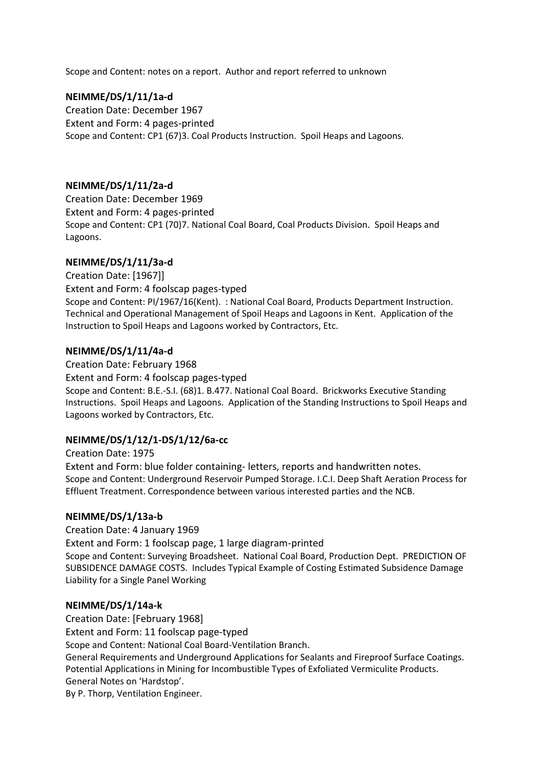Scope and Content: notes on a report. Author and report referred to unknown

### **NEIMME/DS/1/11/1a-d**

Creation Date: December 1967 Extent and Form: 4 pages-printed Scope and Content: CP1 (67)3. Coal Products Instruction. Spoil Heaps and Lagoons.

### **NEIMME/DS/1/11/2a-d**

Creation Date: December 1969 Extent and Form: 4 pages-printed Scope and Content: CP1 (70)7. National Coal Board, Coal Products Division. Spoil Heaps and Lagoons.

### **NEIMME/DS/1/11/3a-d**

Creation Date: [1967]] Extent and Form: 4 foolscap pages-typed Scope and Content: PI/1967/16(Kent). : National Coal Board, Products Department Instruction. Technical and Operational Management of Spoil Heaps and Lagoons in Kent. Application of the Instruction to Spoil Heaps and Lagoons worked by Contractors, Etc.

### **NEIMME/DS/1/11/4a-d**

Creation Date: February 1968 Extent and Form: 4 foolscap pages-typed Scope and Content: B.E.-S.I. (68)1. B.477. National Coal Board. Brickworks Executive Standing Instructions. Spoil Heaps and Lagoons. Application of the Standing Instructions to Spoil Heaps and Lagoons worked by Contractors, Etc.

### **NEIMME/DS/1/12/1-DS/1/12/6a-cc**

Creation Date: 1975 Extent and Form: blue folder containing- letters, reports and handwritten notes. Scope and Content: Underground Reservoir Pumped Storage. I.C.I. Deep Shaft Aeration Process for Effluent Treatment. Correspondence between various interested parties and the NCB.

#### **NEIMME/DS/1/13a-b**

Creation Date: 4 January 1969

Extent and Form: 1 foolscap page, 1 large diagram-printed Scope and Content: Surveying Broadsheet. National Coal Board, Production Dept. PREDICTION OF SUBSIDENCE DAMAGE COSTS. Includes Typical Example of Costing Estimated Subsidence Damage Liability for a Single Panel Working

#### **NEIMME/DS/1/14a-k**

Creation Date: [February 1968] Extent and Form: 11 foolscap page-typed Scope and Content: National Coal Board-Ventilation Branch. General Requirements and Underground Applications for Sealants and Fireproof Surface Coatings. Potential Applications in Mining for Incombustible Types of Exfoliated Vermiculite Products. General Notes on 'Hardstop'. By P. Thorp, Ventilation Engineer.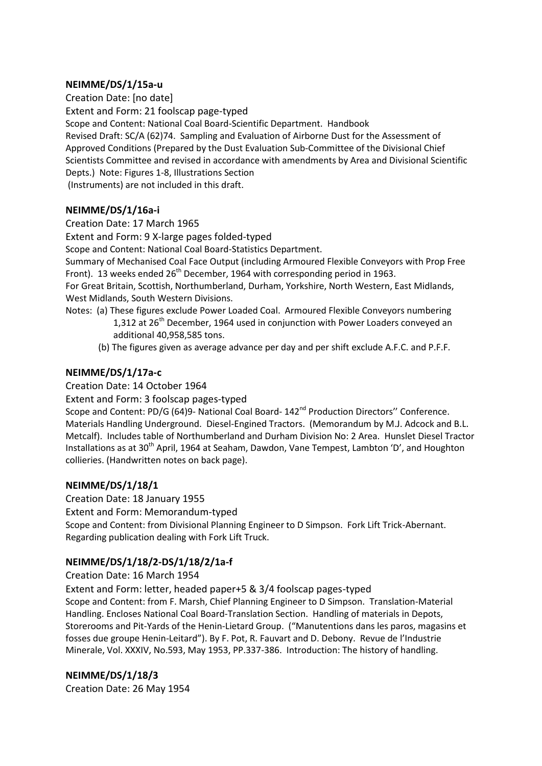### **NEIMME/DS/1/15a-u**

Creation Date: [no date] Extent and Form: 21 foolscap page-typed Scope and Content: National Coal Board-Scientific Department. Handbook Revised Draft: SC/A (62)74. Sampling and Evaluation of Airborne Dust for the Assessment of Approved Conditions (Prepared by the Dust Evaluation Sub-Committee of the Divisional Chief Scientists Committee and revised in accordance with amendments by Area and Divisional Scientific Depts.) Note: Figures 1-8, Illustrations Section (Instruments) are not included in this draft.

### **NEIMME/DS/1/16a-i**

Creation Date: 17 March 1965

Extent and Form: 9 X-large pages folded-typed

Scope and Content: National Coal Board-Statistics Department.

Summary of Mechanised Coal Face Output (including Armoured Flexible Conveyors with Prop Free Front). 13 weeks ended  $26<sup>th</sup>$  December, 1964 with corresponding period in 1963.

For Great Britain, Scottish, Northumberland, Durham, Yorkshire, North Western, East Midlands, West Midlands, South Western Divisions.

- Notes: (a) These figures exclude Power Loaded Coal. Armoured Flexible Conveyors numbering 1,312 at  $26<sup>th</sup>$  December, 1964 used in conjunction with Power Loaders conveyed an additional 40,958,585 tons.
	- (b) The figures given as average advance per day and per shift exclude A.F.C. and P.F.F.

### **NEIMME/DS/1/17a-c**

Creation Date: 14 October 1964

Extent and Form: 3 foolscap pages-typed

Scope and Content: PD/G (64)9- National Coal Board- 142<sup>nd</sup> Production Directors" Conference. Materials Handling Underground. Diesel-Engined Tractors. (Memorandum by M.J. Adcock and B.L. Metcalf). Includes table of Northumberland and Durham Division No: 2 Area. Hunslet Diesel Tractor Installations as at 30<sup>th</sup> April, 1964 at Seaham, Dawdon, Vane Tempest, Lambton 'D', and Houghton collieries. (Handwritten notes on back page).

#### **NEIMME/DS/1/18/1**

Creation Date: 18 January 1955

Extent and Form: Memorandum-typed

Scope and Content: from Divisional Planning Engineer to D Simpson. Fork Lift Trick-Abernant. Regarding publication dealing with Fork Lift Truck.

### **NEIMME/DS/1/18/2-DS/1/18/2/1a-f**

#### Creation Date: 16 March 1954

Extent and Form: letter, headed paper+5 & 3/4 foolscap pages-typed

Scope and Content: from F. Marsh, Chief Planning Engineer to D Simpson. Translation-Material Handling. Encloses National Coal Board-Translation Section. Handling of materials in Depots, Storerooms and Pit-Yards of the Henin-Lietard Group. ("Manutentions dans les paros, magasins et fosses due groupe Henin-Leitard"). By F. Pot, R. Fauvart and D. Debony. Revue de l'Industrie Minerale, Vol. XXXIV, No.593, May 1953, PP.337-386. Introduction: The history of handling.

#### **NEIMME/DS/1/18/3**

Creation Date: 26 May 1954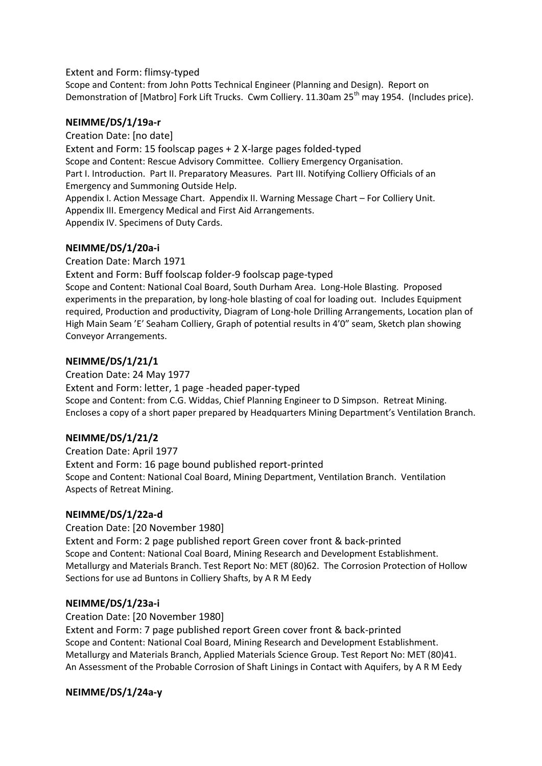#### Extent and Form: flimsy-typed

Scope and Content: from John Potts Technical Engineer (Planning and Design). Report on Demonstration of [Matbro] Fork Lift Trucks. Cwm Colliery. 11.30am 25<sup>th</sup> may 1954. (Includes price).

### **NEIMME/DS/1/19a-r**

Creation Date: [no date]

Extent and Form: 15 foolscap pages + 2 X-large pages folded-typed Scope and Content: Rescue Advisory Committee. Colliery Emergency Organisation. Part I. Introduction. Part II. Preparatory Measures. Part III. Notifying Colliery Officials of an Emergency and Summoning Outside Help. Appendix I. Action Message Chart. Appendix II. Warning Message Chart – For Colliery Unit. Appendix III. Emergency Medical and First Aid Arrangements. Appendix IV. Specimens of Duty Cards.

### **NEIMME/DS/1/20a-i**

Creation Date: March 1971

Extent and Form: Buff foolscap folder-9 foolscap page-typed

Scope and Content: National Coal Board, South Durham Area. Long-Hole Blasting. Proposed experiments in the preparation, by long-hole blasting of coal for loading out. Includes Equipment required, Production and productivity, Diagram of Long-hole Drilling Arrangements, Location plan of High Main Seam 'E' Seaham Colliery, Graph of potential results in 4'0" seam, Sketch plan showing Conveyor Arrangements.

### **NEIMME/DS/1/21/1**

Creation Date: 24 May 1977

Extent and Form: letter, 1 page -headed paper-typed Scope and Content: from C.G. Widdas, Chief Planning Engineer to D Simpson. Retreat Mining. Encloses a copy of a short paper prepared by Headquarters Mining Department's Ventilation Branch.

### **NEIMME/DS/1/21/2**

Creation Date: April 1977 Extent and Form: 16 page bound published report-printed Scope and Content: National Coal Board, Mining Department, Ventilation Branch. Ventilation Aspects of Retreat Mining.

### **NEIMME/DS/1/22a-d**

Creation Date: [20 November 1980]

Extent and Form: 2 page published report Green cover front & back-printed Scope and Content: National Coal Board, Mining Research and Development Establishment. Metallurgy and Materials Branch. Test Report No: MET (80)62. The Corrosion Protection of Hollow Sections for use ad Buntons in Colliery Shafts, by A R M Eedy

#### **NEIMME/DS/1/23a-i**

Creation Date: [20 November 1980]

Extent and Form: 7 page published report Green cover front & back-printed Scope and Content: National Coal Board, Mining Research and Development Establishment. Metallurgy and Materials Branch, Applied Materials Science Group. Test Report No: MET (80)41. An Assessment of the Probable Corrosion of Shaft Linings in Contact with Aquifers, by A R M Eedy

### **NEIMME/DS/1/24a-y**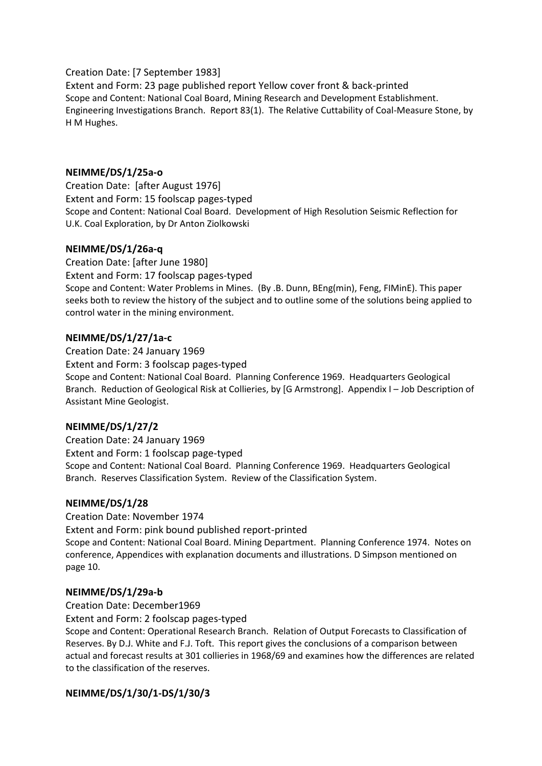### Creation Date: [7 September 1983]

Extent and Form: 23 page published report Yellow cover front & back-printed Scope and Content: National Coal Board, Mining Research and Development Establishment. Engineering Investigations Branch. Report 83(1). The Relative Cuttability of Coal-Measure Stone, by H M Hughes.

### **NEIMME/DS/1/25a-o**

Creation Date: [after August 1976] Extent and Form: 15 foolscap pages-typed Scope and Content: National Coal Board. Development of High Resolution Seismic Reflection for U.K. Coal Exploration, by Dr Anton Ziolkowski

#### **NEIMME/DS/1/26a-q**

Creation Date: [after June 1980] Extent and Form: 17 foolscap pages-typed Scope and Content: Water Problems in Mines. (By .B. Dunn, BEng(min), Feng, FIMinE). This paper seeks both to review the history of the subject and to outline some of the solutions being applied to control water in the mining environment.

### **NEIMME/DS/1/27/1a-c**

Creation Date: 24 January 1969

Extent and Form: 3 foolscap pages-typed Scope and Content: National Coal Board. Planning Conference 1969. Headquarters Geological Branch. Reduction of Geological Risk at Collieries, by [G Armstrong]. Appendix I – Job Description of Assistant Mine Geologist.

### **NEIMME/DS/1/27/2**

Creation Date: 24 January 1969 Extent and Form: 1 foolscap page-typed Scope and Content: National Coal Board. Planning Conference 1969. Headquarters Geological Branch. Reserves Classification System. Review of the Classification System.

#### **NEIMME/DS/1/28**

Creation Date: November 1974 Extent and Form: pink bound published report-printed Scope and Content: National Coal Board. Mining Department. Planning Conference 1974. Notes on conference, Appendices with explanation documents and illustrations. D Simpson mentioned on page 10.

#### **NEIMME/DS/1/29a-b**

Creation Date: December1969

Extent and Form: 2 foolscap pages-typed

Scope and Content: Operational Research Branch. Relation of Output Forecasts to Classification of Reserves. By D.J. White and F.J. Toft. This report gives the conclusions of a comparison between actual and forecast results at 301 collieries in 1968/69 and examines how the differences are related to the classification of the reserves.

### **NEIMME/DS/1/30/1-DS/1/30/3**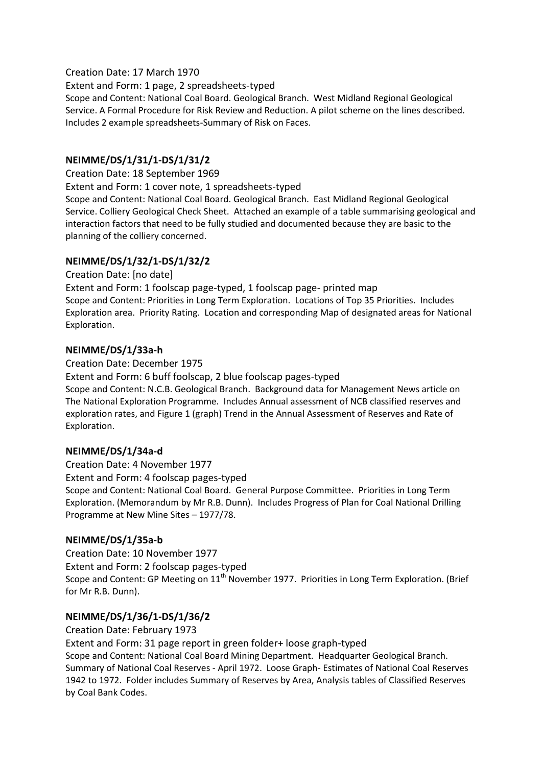### Creation Date: 17 March 1970

Extent and Form: 1 page, 2 spreadsheets-typed Scope and Content: National Coal Board. Geological Branch. West Midland Regional Geological Service. A Formal Procedure for Risk Review and Reduction. A pilot scheme on the lines described. Includes 2 example spreadsheets-Summary of Risk on Faces.

# **NEIMME/DS/1/31/1-DS/1/31/2**

Creation Date: 18 September 1969

Extent and Form: 1 cover note, 1 spreadsheets-typed

Scope and Content: National Coal Board. Geological Branch. East Midland Regional Geological Service. Colliery Geological Check Sheet. Attached an example of a table summarising geological and interaction factors that need to be fully studied and documented because they are basic to the planning of the colliery concerned.

### **NEIMME/DS/1/32/1-DS/1/32/2**

Creation Date: [no date] Extent and Form: 1 foolscap page-typed, 1 foolscap page- printed map Scope and Content: Priorities in Long Term Exploration. Locations of Top 35 Priorities. Includes Exploration area. Priority Rating. Location and corresponding Map of designated areas for National Exploration.

### **NEIMME/DS/1/33a-h**

Creation Date: December 1975

Extent and Form: 6 buff foolscap, 2 blue foolscap pages-typed

Scope and Content: N.C.B. Geological Branch. Background data for Management News article on The National Exploration Programme. Includes Annual assessment of NCB classified reserves and exploration rates, and Figure 1 (graph) Trend in the Annual Assessment of Reserves and Rate of Exploration.

### **NEIMME/DS/1/34a-d**

Creation Date: 4 November 1977 Extent and Form: 4 foolscap pages-typed Scope and Content: National Coal Board. General Purpose Committee. Priorities in Long Term Exploration. (Memorandum by Mr R.B. Dunn). Includes Progress of Plan for Coal National Drilling Programme at New Mine Sites – 1977/78.

### **NEIMME/DS/1/35a-b**

Creation Date: 10 November 1977 Extent and Form: 2 foolscap pages-typed Scope and Content: GP Meeting on 11<sup>th</sup> November 1977. Priorities in Long Term Exploration. (Brief for Mr R.B. Dunn).

### **NEIMME/DS/1/36/1-DS/1/36/2**

Creation Date: February 1973

Extent and Form: 31 page report in green folder+ loose graph-typed Scope and Content: National Coal Board Mining Department. Headquarter Geological Branch. Summary of National Coal Reserves - April 1972. Loose Graph- Estimates of National Coal Reserves 1942 to 1972. Folder includes Summary of Reserves by Area, Analysis tables of Classified Reserves by Coal Bank Codes.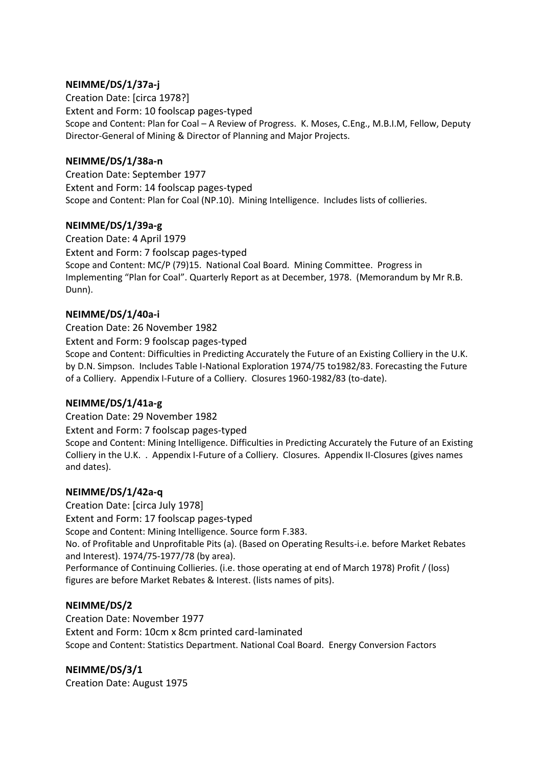### **NEIMME/DS/1/37a-j**

Creation Date: [circa 1978?] Extent and Form: 10 foolscap pages-typed Scope and Content: Plan for Coal – A Review of Progress. K. Moses, C.Eng., M.B.I.M, Fellow, Deputy Director-General of Mining & Director of Planning and Major Projects.

### **NEIMME/DS/1/38a-n**

Creation Date: September 1977 Extent and Form: 14 foolscap pages-typed Scope and Content: Plan for Coal (NP.10). Mining Intelligence. Includes lists of collieries.

### **NEIMME/DS/1/39a-g**

Creation Date: 4 April 1979 Extent and Form: 7 foolscap pages-typed Scope and Content: MC/P (79)15. National Coal Board. Mining Committee. Progress in Implementing "Plan for Coal". Quarterly Report as at December, 1978. (Memorandum by Mr R.B. Dunn).

### **NEIMME/DS/1/40a-i**

Creation Date: 26 November 1982 Extent and Form: 9 foolscap pages-typed Scope and Content: Difficulties in Predicting Accurately the Future of an Existing Colliery in the U.K. by D.N. Simpson. Includes Table I-National Exploration 1974/75 to1982/83. Forecasting the Future of a Colliery. Appendix I-Future of a Colliery. Closures 1960-1982/83 (to-date).

### **NEIMME/DS/1/41a-g**

Creation Date: 29 November 1982

Extent and Form: 7 foolscap pages-typed

Scope and Content: Mining Intelligence. Difficulties in Predicting Accurately the Future of an Existing Colliery in the U.K. . Appendix I-Future of a Colliery. Closures. Appendix II-Closures (gives names and dates).

### **NEIMME/DS/1/42a-q**

Creation Date: [circa July 1978] Extent and Form: 17 foolscap pages-typed Scope and Content: Mining Intelligence. Source form F.383. No. of Profitable and Unprofitable Pits (a). (Based on Operating Results-i.e. before Market Rebates and Interest). 1974/75-1977/78 (by area). Performance of Continuing Collieries. (i.e. those operating at end of March 1978) Profit / (loss) figures are before Market Rebates & Interest. (lists names of pits).

### **NEIMME/DS/2**

Creation Date: November 1977 Extent and Form: 10cm x 8cm printed card-laminated Scope and Content: Statistics Department. National Coal Board. Energy Conversion Factors

**NEIMME/DS/3/1** Creation Date: August 1975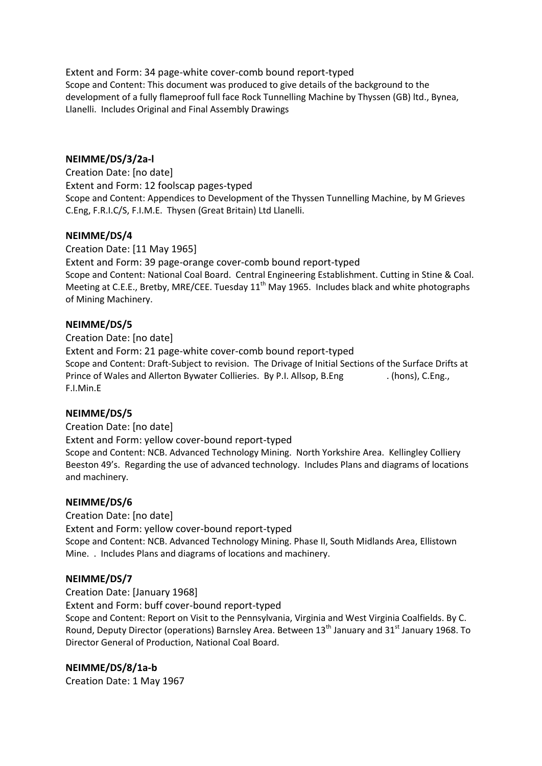Extent and Form: 34 page-white cover-comb bound report-typed Scope and Content: This document was produced to give details of the background to the development of a fully flameproof full face Rock Tunnelling Machine by Thyssen (GB) ltd., Bynea, Llanelli. Includes Original and Final Assembly Drawings

### **NEIMME/DS/3/2a-l**

Creation Date: [no date] Extent and Form: 12 foolscap pages-typed Scope and Content: Appendices to Development of the Thyssen Tunnelling Machine, by M Grieves C.Eng, F.R.I.C/S, F.I.M.E. Thysen (Great Britain) Ltd Llanelli.

### **NEIMME/DS/4**

Creation Date: [11 May 1965] Extent and Form: 39 page-orange cover-comb bound report-typed Scope and Content: National Coal Board. Central Engineering Establishment. Cutting in Stine & Coal. Meeting at C.E.E., Bretby, MRE/CEE. Tuesday  $11<sup>th</sup>$  May 1965. Includes black and white photographs of Mining Machinery.

### **NEIMME/DS/5**

Creation Date: [no date] Extent and Form: 21 page-white cover-comb bound report-typed Scope and Content: Draft-Subject to revision. The Drivage of Initial Sections of the Surface Drifts at Prince of Wales and Allerton Bywater Collieries. By P.I. Allsop, B.Eng . (hons), C.Eng., F.I.Min.E

### **NEIMME/DS/5**

Creation Date: [no date] Extent and Form: yellow cover-bound report-typed Scope and Content: NCB. Advanced Technology Mining. North Yorkshire Area. Kellingley Colliery Beeston 49's. Regarding the use of advanced technology. Includes Plans and diagrams of locations and machinery.

#### **NEIMME/DS/6**

Creation Date: [no date] Extent and Form: yellow cover-bound report-typed Scope and Content: NCB. Advanced Technology Mining. Phase II, South Midlands Area, Ellistown Mine. . Includes Plans and diagrams of locations and machinery.

#### **NEIMME/DS/7**

Creation Date: [January 1968]

Extent and Form: buff cover-bound report-typed

Scope and Content: Report on Visit to the Pennsylvania, Virginia and West Virginia Coalfields. By C. Round, Deputy Director (operations) Barnsley Area. Between 13<sup>th</sup> January and 31<sup>st</sup> January 1968. To Director General of Production, National Coal Board.

#### **NEIMME/DS/8/1a-b**

Creation Date: 1 May 1967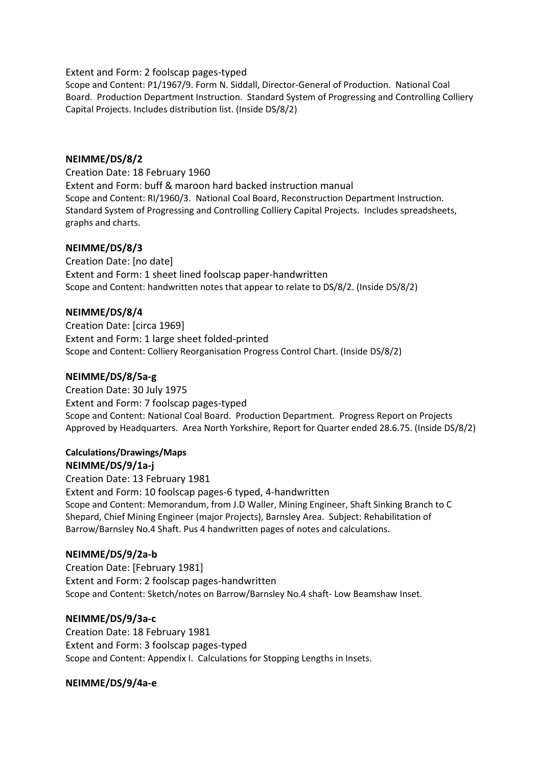Extent and Form: 2 foolscap pages-typed

Scope and Content: P1/1967/9. Form N. Siddall, Director-General of Production. National Coal Board. Production Department Instruction. Standard System of Progressing and Controlling Colliery Capital Projects. Includes distribution list. (Inside DS/8/2)

### **NEIMME/DS/8/2**

Creation Date: 18 February 1960 Extent and Form: buff & maroon hard backed instruction manual Scope and Content: RI/1960/3. National Coal Board, Reconstruction Department Instruction. Standard System of Progressing and Controlling Colliery Capital Projects. Includes spreadsheets, graphs and charts.

### **NEIMME/DS/8/3**

Creation Date: [no date] Extent and Form: 1 sheet lined foolscap paper-handwritten Scope and Content: handwritten notes that appear to relate to DS/8/2. (Inside DS/8/2)

### **NEIMME/DS/8/4**

Creation Date: [circa 1969] Extent and Form: 1 large sheet folded-printed Scope and Content: Colliery Reorganisation Progress Control Chart. (Inside DS/8/2)

### **NEIMME/DS/8/5a-g**

Creation Date: 30 July 1975 Extent and Form: 7 foolscap pages-typed Scope and Content: National Coal Board. Production Department. Progress Report on Projects Approved by Headquarters. Area North Yorkshire, Report for Quarter ended 28.6.75. (Inside DS/8/2)

# **Calculations/Drawings/Maps**

**NEIMME/DS/9/1a-j**

Creation Date: 13 February 1981 Extent and Form: 10 foolscap pages-6 typed, 4-handwritten Scope and Content: Memorandum, from J.D Waller, Mining Engineer, Shaft Sinking Branch to C Shepard, Chief Mining Engineer (major Projects), Barnsley Area. Subject: Rehabilitation of Barrow/Barnsley No.4 Shaft. Pus 4 handwritten pages of notes and calculations.

#### **NEIMME/DS/9/2a-b**

Creation Date: [February 1981] Extent and Form: 2 foolscap pages-handwritten Scope and Content: Sketch/notes on Barrow/Barnsley No.4 shaft- Low Beamshaw Inset.

### **NEIMME/DS/9/3a-c**

Creation Date: 18 February 1981 Extent and Form: 3 foolscap pages-typed Scope and Content: Appendix I. Calculations for Stopping Lengths in Insets.

#### **NEIMME/DS/9/4a-e**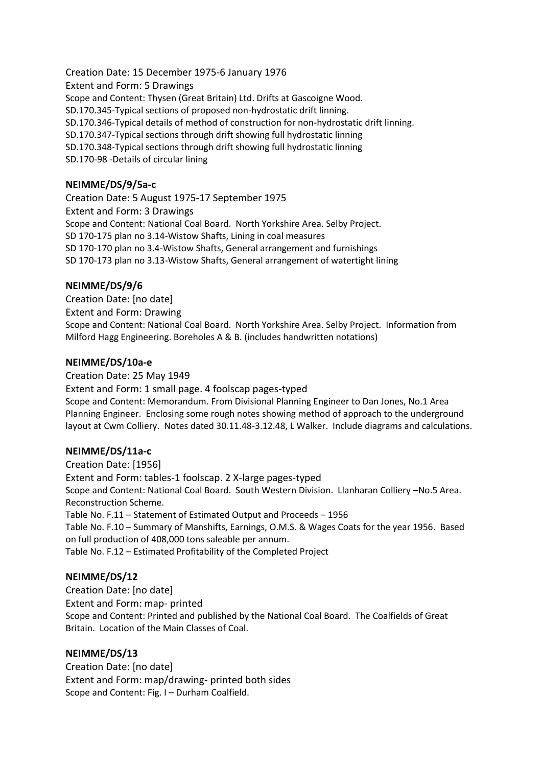Creation Date: 15 December 1975-6 January 1976 Extent and Form: 5 Drawings Scope and Content: Thysen (Great Britain) Ltd. Drifts at Gascoigne Wood. SD.170.345-Typical sections of proposed non-hydrostatic drift linning. SD.170.346-Typical details of method of construction for non-hydrostatic drift linning. SD.170.347-Typical sections through drift showing full hydrostatic linning SD.170.348-Typical sections through drift showing full hydrostatic linning SD.170-98 -Details of circular lining

### **NEIMME/DS/9/5a-c**

Creation Date: 5 August 1975-17 September 1975 Extent and Form: 3 Drawings Scope and Content: National Coal Board. North Yorkshire Area. Selby Project. SD 170-175 plan no 3.14-Wistow Shafts, Lining in coal measures SD 170-170 plan no 3.4-Wistow Shafts, General arrangement and furnishings SD 170-173 plan no 3.13-Wistow Shafts, General arrangement of watertight lining

### **NEIMME/DS/9/6**

Creation Date: [no date] Extent and Form: Drawing Scope and Content: National Coal Board. North Yorkshire Area. Selby Project. Information from Milford Hagg Engineering. Boreholes A & B. (includes handwritten notations)

#### **NEIMME/DS/10a-e**

Creation Date: 25 May 1949 Extent and Form: 1 small page. 4 foolscap pages-typed Scope and Content: Memorandum. From Divisional Planning Engineer to Dan Jones, No.1 Area Planning Engineer. Enclosing some rough notes showing method of approach to the underground layout at Cwm Colliery. Notes dated 30.11.48-3.12.48, L Walker. Include diagrams and calculations.

#### **NEIMME/DS/11a-c**

Creation Date: [1956] Extent and Form: tables-1 foolscap. 2 X-large pages-typed Scope and Content: National Coal Board. South Western Division. Llanharan Colliery –No.5 Area. Reconstruction Scheme. Table No. F.11 – Statement of Estimated Output and Proceeds – 1956 Table No. F.10 – Summary of Manshifts, Earnings, O.M.S. & Wages Coats for the year 1956. Based on full production of 408,000 tons saleable per annum. Table No. F.12 – Estimated Profitability of the Completed Project

#### **NEIMME/DS/12**

Creation Date: [no date] Extent and Form: map- printed Scope and Content: Printed and published by the National Coal Board. The Coalfields of Great Britain. Location of the Main Classes of Coal.

#### **NEIMME/DS/13**

Creation Date: [no date] Extent and Form: map/drawing- printed both sides Scope and Content: Fig. I – Durham Coalfield.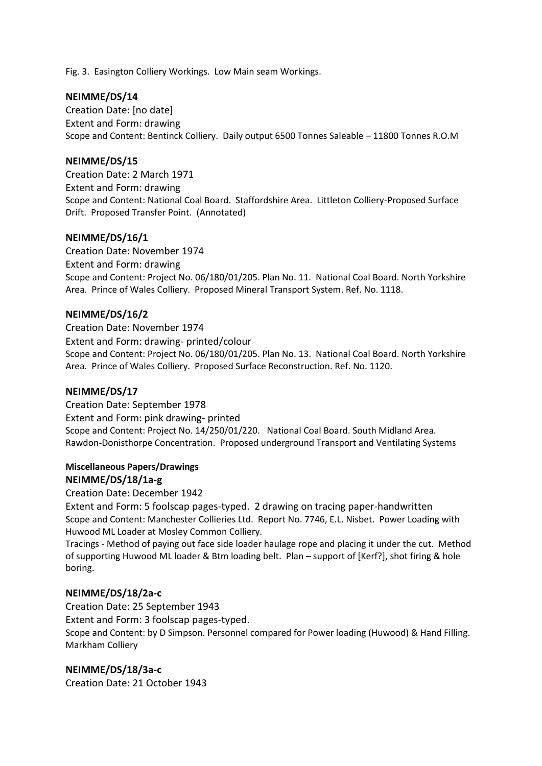Fig. 3. Easington Colliery Workings. Low Main seam Workings.

#### **NEIMME/DS/14**

Creation Date: [no date] Extent and Form: drawing Scope and Content: Bentinck Colliery. Daily output 6500 Tonnes Saleable – 11800 Tonnes R.O.M

#### **NEIMME/DS/15**

Creation Date: 2 March 1971 Extent and Form: drawing Scope and Content: National Coal Board. Staffordshire Area. Littleton Colliery-Proposed Surface Drift. Proposed Transfer Point. (Annotated)

#### **NEIMME/DS/16/1**

Creation Date: November 1974 Extent and Form: drawing Scope and Content: Project No. 06/180/01/205. Plan No. 11. National Coal Board. North Yorkshire Area. Prince of Wales Colliery. Proposed Mineral Transport System. Ref. No. 1118.

#### **NEIMME/DS/16/2**

Creation Date: November 1974 Extent and Form: drawing- printed/colour Scope and Content: Project No. 06/180/01/205. Plan No. 13. National Coal Board. North Yorkshire Area. Prince of Wales Colliery. Proposed Surface Reconstruction. Ref. No. 1120.

#### **NEIMME/DS/17**

Creation Date: September 1978 Extent and Form: pink drawing- printed Scope and Content: Project No. 14/250/01/220. National Coal Board. South Midland Area. Rawdon-Donisthorpe Concentration. Proposed underground Transport and Ventilating Systems

#### **Miscellaneous Papers/Drawings NEIMME/DS/18/1a-g**

Creation Date: December 1942

Extent and Form: 5 foolscap pages-typed. 2 drawing on tracing paper-handwritten Scope and Content: Manchester Collieries Ltd. Report No. 7746, E.L. Nisbet. Power Loading with Huwood ML Loader at Mosley Common Colliery.

Tracings - Method of paying out face side loader haulage rope and placing it under the cut. Method of supporting Huwood ML loader & Btm loading belt. Plan – support of [Kerf?], shot firing & hole boring.

#### **NEIMME/DS/18/2a-c**

Creation Date: 25 September 1943 Extent and Form: 3 foolscap pages-typed. Scope and Content: by D Simpson. Personnel compared for Power loading (Huwood) & Hand Filling. Markham Colliery

#### **NEIMME/DS/18/3a-c**

Creation Date: 21 October 1943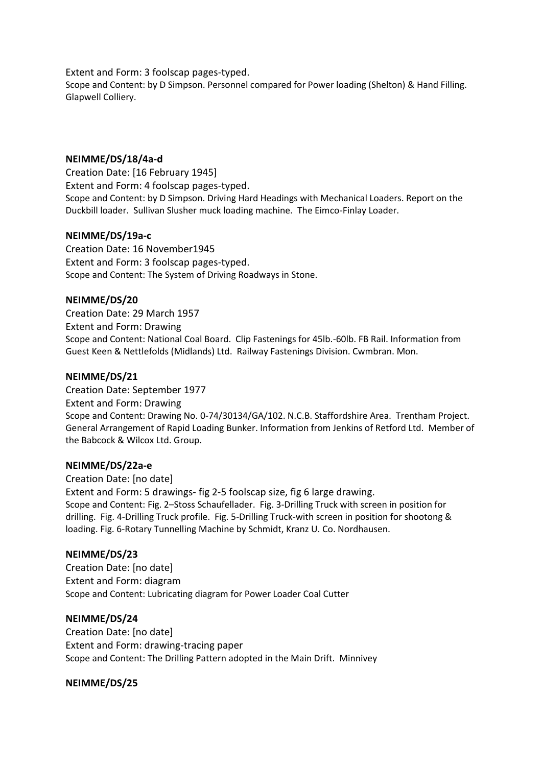Extent and Form: 3 foolscap pages-typed.

Scope and Content: by D Simpson. Personnel compared for Power loading (Shelton) & Hand Filling. Glapwell Colliery.

### **NEIMME/DS/18/4a-d**

Creation Date: [16 February 1945] Extent and Form: 4 foolscap pages-typed. Scope and Content: by D Simpson. Driving Hard Headings with Mechanical Loaders. Report on the Duckbill loader. Sullivan Slusher muck loading machine. The Eimco-Finlay Loader.

### **NEIMME/DS/19a-c**

Creation Date: 16 November1945 Extent and Form: 3 foolscap pages-typed. Scope and Content: The System of Driving Roadways in Stone.

#### **NEIMME/DS/20**

Creation Date: 29 March 1957 Extent and Form: Drawing Scope and Content: National Coal Board. Clip Fastenings for 45lb.-60lb. FB Rail. Information from Guest Keen & Nettlefolds (Midlands) Ltd. Railway Fastenings Division. Cwmbran. Mon.

#### **NEIMME/DS/21**

Creation Date: September 1977 Extent and Form: Drawing Scope and Content: Drawing No. 0-74/30134/GA/102. N.C.B. Staffordshire Area. Trentham Project. General Arrangement of Rapid Loading Bunker. Information from Jenkins of Retford Ltd. Member of the Babcock & Wilcox Ltd. Group.

#### **NEIMME/DS/22a-e**

Creation Date: [no date] Extent and Form: 5 drawings- fig 2-5 foolscap size, fig 6 large drawing. Scope and Content: Fig. 2–Stoss Schaufellader. Fig. 3-Drilling Truck with screen in position for drilling. Fig. 4-Drilling Truck profile. Fig. 5-Drilling Truck-with screen in position for shootong & loading. Fig. 6-Rotary Tunnelling Machine by Schmidt, Kranz U. Co. Nordhausen.

#### **NEIMME/DS/23**

Creation Date: [no date] Extent and Form: diagram Scope and Content: Lubricating diagram for Power Loader Coal Cutter

#### **NEIMME/DS/24**

Creation Date: [no date] Extent and Form: drawing-tracing paper Scope and Content: The Drilling Pattern adopted in the Main Drift. Minnivey

#### **NEIMME/DS/25**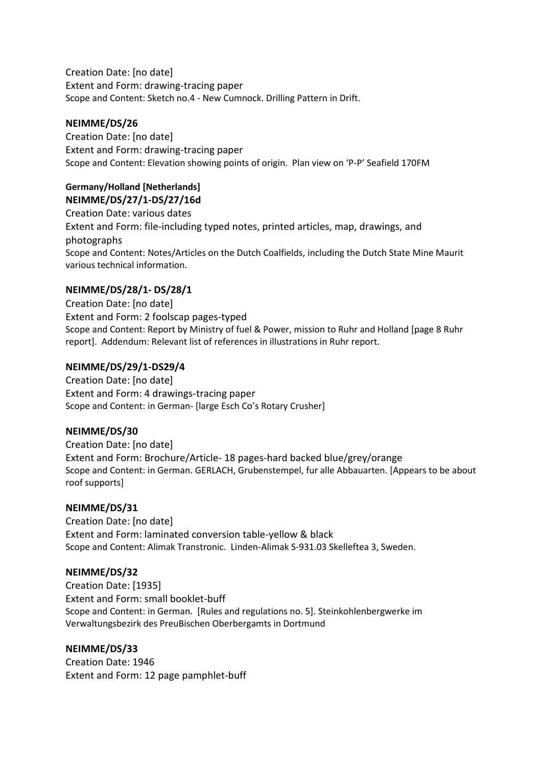Creation Date: [no date] Extent and Form: drawing-tracing paper Scope and Content: Sketch no.4 - New Cumnock. Drilling Pattern in Drift.

### **NEIMME/DS/26**

Creation Date: [no date] Extent and Form: drawing-tracing paper Scope and Content: Elevation showing points of origin. Plan view on 'P-P' Seafield 170FM

#### **Germany/Holland [Netherlands] NEIMME/DS/27/1-DS/27/16d**

Creation Date: various dates Extent and Form: file-including typed notes, printed articles, map, drawings, and photographs Scope and Content: Notes/Articles on the Dutch Coalfields, including the Dutch State Mine Maurit various technical information.

# **NEIMME/DS/28/1- DS/28/1**

Creation Date: [no date] Extent and Form: 2 foolscap pages-typed Scope and Content: Report by Ministry of fuel & Power, mission to Ruhr and Holland [page 8 Ruhr report]. Addendum: Relevant list of references in illustrations in Ruhr report.

### **NEIMME/DS/29/1-DS29/4**

Creation Date: [no date] Extent and Form: 4 drawings-tracing paper Scope and Content: in German- [large Esch Co's Rotary Crusher]

### **NEIMME/DS/30**

Creation Date: [no date] Extent and Form: Brochure/Article- 18 pages-hard backed blue/grey/orange Scope and Content: in German. GERLACH, Grubenstempel, fur alle Abbauarten. [Appears to be about roof supports]

### **NEIMME/DS/31**

Creation Date: [no date] Extent and Form: laminated conversion table-yellow & black Scope and Content: Alimak Transtronic. Linden-Alimak S-931.03 Skelleftea 3, Sweden.

### **NEIMME/DS/32**

Creation Date: [1935] Extent and Form: small booklet-buff Scope and Content: in German. [Rules and regulations no. 5]. Steinkohlenbergwerke im Verwaltungsbezirk des PreuBischen Oberbergamts in Dortmund

### **NEIMME/DS/33**

Creation Date: 1946 Extent and Form: 12 page pamphlet-buff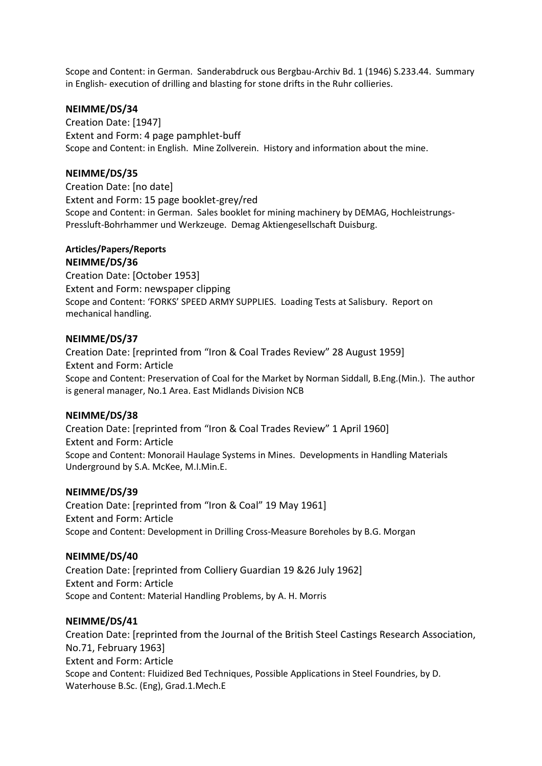Scope and Content: in German. Sanderabdruck ous Bergbau-Archiv Bd. 1 (1946) S.233.44. Summary in English- execution of drilling and blasting for stone drifts in the Ruhr collieries.

#### **NEIMME/DS/34**

Creation Date: [1947] Extent and Form: 4 page pamphlet-buff Scope and Content: in English. Mine Zollverein. History and information about the mine.

#### **NEIMME/DS/35**

Creation Date: [no date] Extent and Form: 15 page booklet-grey/red Scope and Content: in German. Sales booklet for mining machinery by DEMAG, Hochleistrungs-Pressluft-Bohrhammer und Werkzeuge. Demag Aktiengesellschaft Duisburg.

#### **Articles/Papers/Reports**

#### **NEIMME/DS/36**

Creation Date: [October 1953] Extent and Form: newspaper clipping Scope and Content: 'FORKS' SPEED ARMY SUPPLIES. Loading Tests at Salisbury. Report on mechanical handling.

#### **NEIMME/DS/37**

Creation Date: [reprinted from "Iron & Coal Trades Review" 28 August 1959] Extent and Form: Article Scope and Content: Preservation of Coal for the Market by Norman Siddall, B.Eng.(Min.). The author is general manager, No.1 Area. East Midlands Division NCB

#### **NEIMME/DS/38**

Creation Date: [reprinted from "Iron & Coal Trades Review" 1 April 1960] Extent and Form: Article Scope and Content: Monorail Haulage Systems in Mines. Developments in Handling Materials Underground by S.A. McKee, M.I.Min.E.

#### **NEIMME/DS/39**

Creation Date: [reprinted from "Iron & Coal" 19 May 1961] Extent and Form: Article Scope and Content: Development in Drilling Cross-Measure Boreholes by B.G. Morgan

#### **NEIMME/DS/40**

Creation Date: [reprinted from Colliery Guardian 19 &26 July 1962] Extent and Form: Article Scope and Content: Material Handling Problems, by A. H. Morris

#### **NEIMME/DS/41**

Creation Date: [reprinted from the Journal of the British Steel Castings Research Association, No.71, February 1963] Extent and Form: Article Scope and Content: Fluidized Bed Techniques, Possible Applications in Steel Foundries, by D. Waterhouse B.Sc. (Eng), Grad.1.Mech.E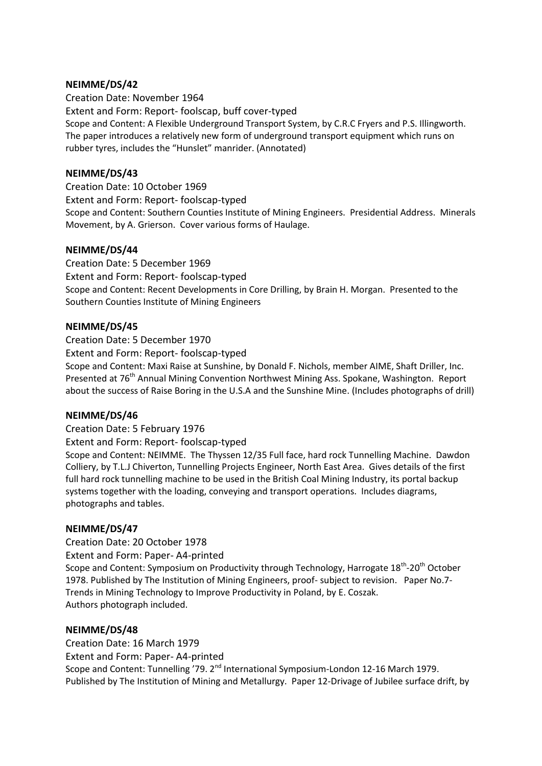#### **NEIMME/DS/42**

Creation Date: November 1964 Extent and Form: Report- foolscap, buff cover-typed Scope and Content: A Flexible Underground Transport System, by C.R.C Fryers and P.S. Illingworth. The paper introduces a relatively new form of underground transport equipment which runs on rubber tyres, includes the "Hunslet" manrider. (Annotated)

#### **NEIMME/DS/43**

Creation Date: 10 October 1969 Extent and Form: Report- foolscap-typed Scope and Content: Southern Counties Institute of Mining Engineers. Presidential Address. Minerals Movement, by A. Grierson. Cover various forms of Haulage.

#### **NEIMME/DS/44**

Creation Date: 5 December 1969 Extent and Form: Report- foolscap-typed Scope and Content: Recent Developments in Core Drilling, by Brain H. Morgan. Presented to the Southern Counties Institute of Mining Engineers

#### **NEIMME/DS/45**

Creation Date: 5 December 1970 Extent and Form: Report- foolscap-typed Scope and Content: Maxi Raise at Sunshine, by Donald F. Nichols, member AIME, Shaft Driller, Inc. Presented at 76<sup>th</sup> Annual Mining Convention Northwest Mining Ass. Spokane, Washington. Report about the success of Raise Boring in the U.S.A and the Sunshine Mine. (Includes photographs of drill)

#### **NEIMME/DS/46**

Creation Date: 5 February 1976

Extent and Form: Report- foolscap-typed

Scope and Content: NEIMME. The Thyssen 12/35 Full face, hard rock Tunnelling Machine. Dawdon Colliery, by T.L.J Chiverton, Tunnelling Projects Engineer, North East Area. Gives details of the first full hard rock tunnelling machine to be used in the British Coal Mining Industry, its portal backup systems together with the loading, conveying and transport operations. Includes diagrams, photographs and tables.

#### **NEIMME/DS/47**

Creation Date: 20 October 1978

Extent and Form: Paper- A4-printed

Scope and Content: Symposium on Productivity through Technology, Harrogate 18<sup>th</sup>-20<sup>th</sup> October 1978. Published by The Institution of Mining Engineers, proof- subject to revision. Paper No.7- Trends in Mining Technology to Improve Productivity in Poland, by E. Coszak. Authors photograph included.

#### **NEIMME/DS/48**

Creation Date: 16 March 1979 Extent and Form: Paper- A4-printed Scope and Content: Tunnelling '79. 2<sup>nd</sup> International Symposium-London 12-16 March 1979. Published by The Institution of Mining and Metallurgy. Paper 12-Drivage of Jubilee surface drift, by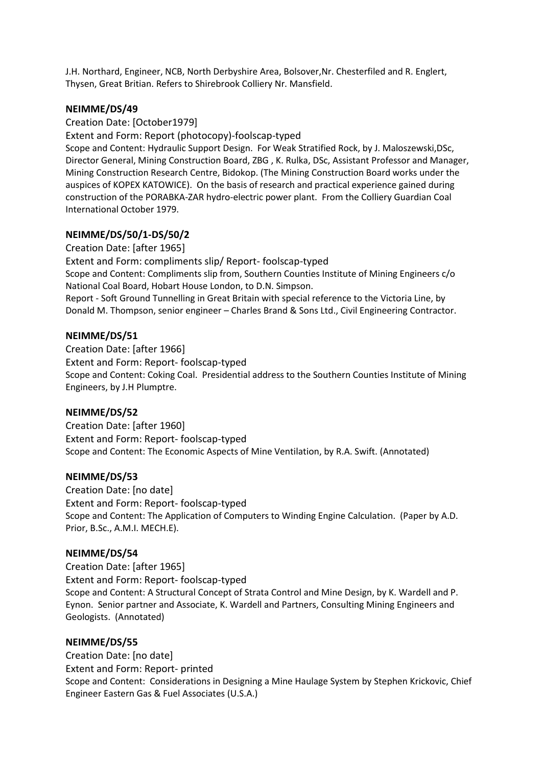J.H. Northard, Engineer, NCB, North Derbyshire Area, Bolsover,Nr. Chesterfiled and R. Englert, Thysen, Great Britian. Refers to Shirebrook Colliery Nr. Mansfield.

#### **NEIMME/DS/49**

#### Creation Date: [October1979]

Extent and Form: Report (photocopy)-foolscap-typed

Scope and Content: Hydraulic Support Design. For Weak Stratified Rock, by J. Maloszewski,DSc, Director General, Mining Construction Board, ZBG , K. Rulka, DSc, Assistant Professor and Manager, Mining Construction Research Centre, Bidokop. (The Mining Construction Board works under the auspices of KOPEX KATOWICE). On the basis of research and practical experience gained during construction of the PORABKA-ZAR hydro-electric power plant. From the Colliery Guardian Coal International October 1979.

#### **NEIMME/DS/50/1-DS/50/2**

Creation Date: [after 1965] Extent and Form: compliments slip/ Report- foolscap-typed Scope and Content: Compliments slip from, Southern Counties Institute of Mining Engineers c/o National Coal Board, Hobart House London, to D.N. Simpson. Report - Soft Ground Tunnelling in Great Britain with special reference to the Victoria Line, by Donald M. Thompson, senior engineer – Charles Brand & Sons Ltd., Civil Engineering Contractor.

#### **NEIMME/DS/51**

Creation Date: [after 1966] Extent and Form: Report- foolscap-typed Scope and Content: Coking Coal. Presidential address to the Southern Counties Institute of Mining Engineers, by J.H Plumptre.

#### **NEIMME/DS/52**

Creation Date: [after 1960] Extent and Form: Report- foolscap-typed Scope and Content: The Economic Aspects of Mine Ventilation, by R.A. Swift. (Annotated)

#### **NEIMME/DS/53**

Creation Date: [no date] Extent and Form: Report- foolscap-typed Scope and Content: The Application of Computers to Winding Engine Calculation. (Paper by A.D. Prior, B.Sc., A.M.I. MECH.E).

#### **NEIMME/DS/54**

Creation Date: [after 1965] Extent and Form: Report- foolscap-typed Scope and Content: A Structural Concept of Strata Control and Mine Design, by K. Wardell and P. Eynon. Senior partner and Associate, K. Wardell and Partners, Consulting Mining Engineers and Geologists. (Annotated)

#### **NEIMME/DS/55**

Creation Date: [no date] Extent and Form: Report- printed Scope and Content: Considerations in Designing a Mine Haulage System by Stephen Krickovic, Chief Engineer Eastern Gas & Fuel Associates (U.S.A.)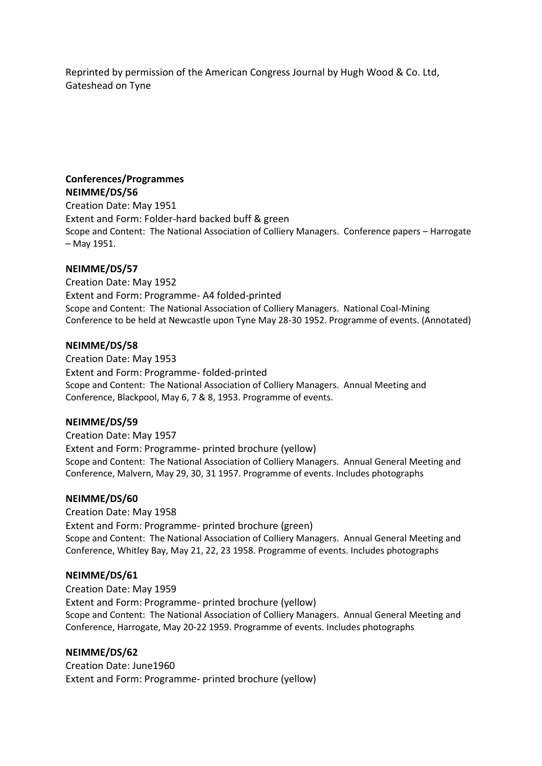Reprinted by permission of the American Congress Journal by Hugh Wood & Co. Ltd, Gateshead on Tyne

#### **Conferences/Programmes NEIMME/DS/56**

Creation Date: May 1951 Extent and Form: Folder-hard backed buff & green Scope and Content: The National Association of Colliery Managers. Conference papers – Harrogate – May 1951.

### **NEIMME/DS/57**

Creation Date: May 1952 Extent and Form: Programme- A4 folded-printed Scope and Content: The National Association of Colliery Managers. National Coal-Mining Conference to be held at Newcastle upon Tyne May 28-30 1952. Programme of events. (Annotated)

#### **NEIMME/DS/58**

Creation Date: May 1953 Extent and Form: Programme- folded-printed Scope and Content: The National Association of Colliery Managers. Annual Meeting and Conference, Blackpool, May 6, 7 & 8, 1953. Programme of events.

#### **NEIMME/DS/59**

Creation Date: May 1957 Extent and Form: Programme- printed brochure (yellow) Scope and Content: The National Association of Colliery Managers. Annual General Meeting and Conference, Malvern, May 29, 30, 31 1957. Programme of events. Includes photographs

#### **NEIMME/DS/60**

Creation Date: May 1958

Extent and Form: Programme- printed brochure (green) Scope and Content: The National Association of Colliery Managers. Annual General Meeting and Conference, Whitley Bay, May 21, 22, 23 1958. Programme of events. Includes photographs

#### **NEIMME/DS/61**

Creation Date: May 1959 Extent and Form: Programme- printed brochure (yellow) Scope and Content: The National Association of Colliery Managers. Annual General Meeting and Conference, Harrogate, May 20-22 1959. Programme of events. Includes photographs

#### **NEIMME/DS/62**

Creation Date: June1960 Extent and Form: Programme- printed brochure (yellow)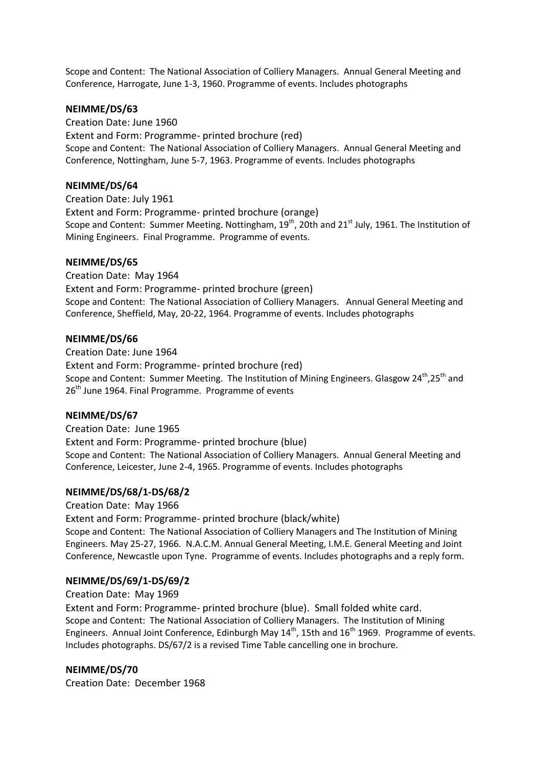Scope and Content: The National Association of Colliery Managers. Annual General Meeting and Conference, Harrogate, June 1-3, 1960. Programme of events. Includes photographs

#### **NEIMME/DS/63**

Creation Date: June 1960 Extent and Form: Programme- printed brochure (red) Scope and Content: The National Association of Colliery Managers. Annual General Meeting and Conference, Nottingham, June 5-7, 1963. Programme of events. Includes photographs

### **NEIMME/DS/64**

Creation Date: July 1961 Extent and Form: Programme- printed brochure (orange) Scope and Content: Summer Meeting. Nottingham, 19<sup>th</sup>, 20th and 21<sup>st</sup> July, 1961. The Institution of Mining Engineers. Final Programme. Programme of events.

#### **NEIMME/DS/65**

Creation Date: May 1964 Extent and Form: Programme- printed brochure (green) Scope and Content: The National Association of Colliery Managers. Annual General Meeting and Conference, Sheffield, May, 20-22, 1964. Programme of events. Includes photographs

#### **NEIMME/DS/66**

Creation Date: June 1964 Extent and Form: Programme- printed brochure (red) Scope and Content: Summer Meeting. The Institution of Mining Engineers. Glasgow  $24^{\text{th}}$ ,  $25^{\text{th}}$  and  $26<sup>th</sup>$  June 1964. Final Programme. Programme of events

### **NEIMME/DS/67**

Creation Date: June 1965 Extent and Form: Programme- printed brochure (blue) Scope and Content: The National Association of Colliery Managers. Annual General Meeting and Conference, Leicester, June 2-4, 1965. Programme of events. Includes photographs

### **NEIMME/DS/68/1-DS/68/2**

Creation Date: May 1966 Extent and Form: Programme- printed brochure (black/white) Scope and Content: The National Association of Colliery Managers and The Institution of Mining Engineers. May 25-27, 1966. N.A.C.M. Annual General Meeting, I.M.E. General Meeting and Joint Conference, Newcastle upon Tyne. Programme of events. Includes photographs and a reply form.

#### **NEIMME/DS/69/1-DS/69/2**

Creation Date: May 1969

Extent and Form: Programme- printed brochure (blue). Small folded white card. Scope and Content: The National Association of Colliery Managers. The Institution of Mining Engineers. Annual Joint Conference, Edinburgh May 14<sup>th</sup>, 15th and 16<sup>th</sup> 1969. Programme of events. Includes photographs. DS/67/2 is a revised Time Table cancelling one in brochure.

### **NEIMME/DS/70**

Creation Date: December 1968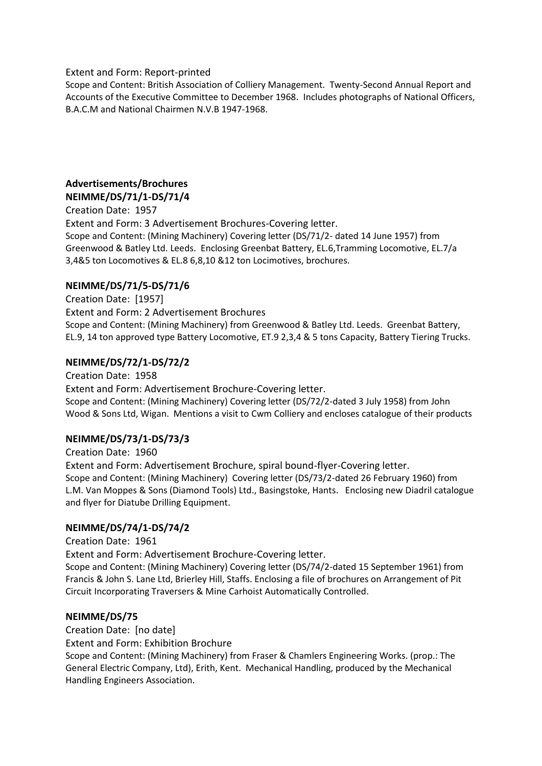Extent and Form: Report-printed

Scope and Content: British Association of Colliery Management. Twenty-Second Annual Report and Accounts of the Executive Committee to December 1968. Includes photographs of National Officers, B.A.C.M and National Chairmen N.V.B 1947-1968.

# **Advertisements/Brochures NEIMME/DS/71/1-DS/71/4**

Creation Date: 1957 Extent and Form: 3 Advertisement Brochures-Covering letter. Scope and Content: (Mining Machinery) Covering letter (DS/71/2- dated 14 June 1957) from Greenwood & Batley Ltd. Leeds. Enclosing Greenbat Battery, EL.6,Tramming Locomotive, EL.7/a 3,4&5 ton Locomotives & EL.8 6,8,10 &12 ton Locimotives, brochures.

# **NEIMME/DS/71/5-DS/71/6**

Creation Date: [1957] Extent and Form: 2 Advertisement Brochures Scope and Content: (Mining Machinery) from Greenwood & Batley Ltd. Leeds. Greenbat Battery, EL.9, 14 ton approved type Battery Locomotive, ET.9 2,3,4 & 5 tons Capacity, Battery Tiering Trucks.

# **NEIMME/DS/72/1-DS/72/2**

Creation Date: 1958 Extent and Form: Advertisement Brochure-Covering letter. Scope and Content: (Mining Machinery) Covering letter (DS/72/2-dated 3 July 1958) from John Wood & Sons Ltd, Wigan. Mentions a visit to Cwm Colliery and encloses catalogue of their products

### **NEIMME/DS/73/1-DS/73/3**

Creation Date: 1960 Extent and Form: Advertisement Brochure, spiral bound-flyer-Covering letter. Scope and Content: (Mining Machinery) Covering letter (DS/73/2-dated 26 February 1960) from L.M. Van Moppes & Sons (Diamond Tools) Ltd., Basingstoke, Hants. Enclosing new Diadril catalogue and flyer for Diatube Drilling Equipment.

### **NEIMME/DS/74/1-DS/74/2**

Creation Date: 1961

Extent and Form: Advertisement Brochure-Covering letter.

Scope and Content: (Mining Machinery) Covering letter (DS/74/2-dated 15 September 1961) from Francis & John S. Lane Ltd, Brierley Hill, Staffs. Enclosing a file of brochures on Arrangement of Pit Circuit Incorporating Traversers & Mine Carhoist Automatically Controlled.

### **NEIMME/DS/75**

Creation Date: [no date]

Extent and Form: Exhibition Brochure

Scope and Content: (Mining Machinery) from Fraser & Chamlers Engineering Works. (prop.: The General Electric Company, Ltd), Erith, Kent. Mechanical Handling, produced by the Mechanical Handling Engineers Association.